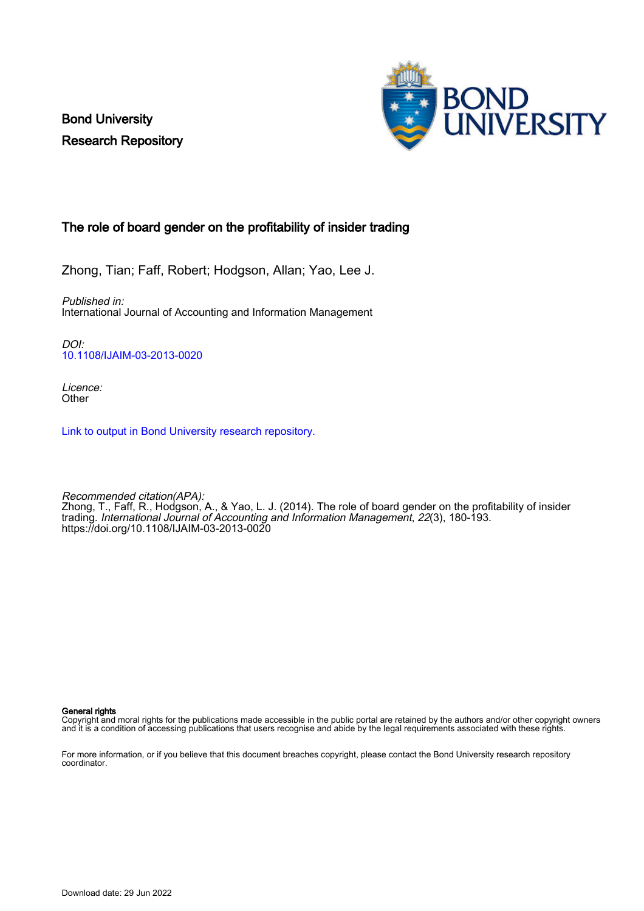Bond University Research Repository



### The role of board gender on the profitability of insider trading

Zhong, Tian; Faff, Robert; Hodgson, Allan; Yao, Lee J.

Published in: International Journal of Accounting and Information Management

DOI: [10.1108/IJAIM-03-2013-0020](https://doi.org/10.1108/IJAIM-03-2013-0020)

Licence: **Other** 

[Link to output in Bond University research repository.](https://research.bond.edu.au/en/publications/ccd9c36d-768d-4077-960c-b5675d5ab403)

Recommended citation(APA): Zhong, T., Faff, R., Hodgson, A., & Yao, L. J. (2014). The role of board gender on the profitability of insider trading. International Journal of Accounting and Information Management, 22(3), 180-193. <https://doi.org/10.1108/IJAIM-03-2013-0020>

General rights

Copyright and moral rights for the publications made accessible in the public portal are retained by the authors and/or other copyright owners and it is a condition of accessing publications that users recognise and abide by the legal requirements associated with these rights.

For more information, or if you believe that this document breaches copyright, please contact the Bond University research repository coordinator.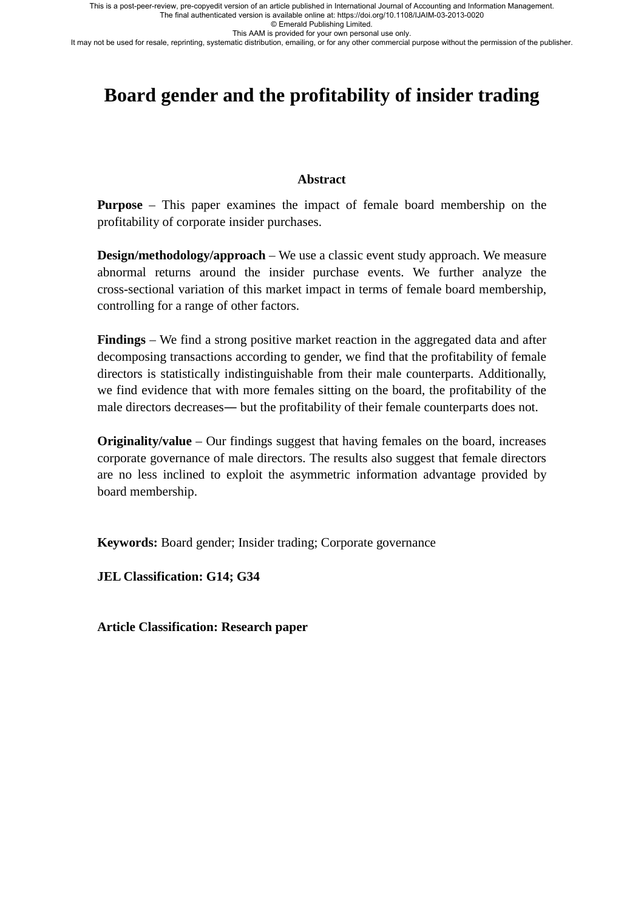© Emerald Publishing Limited.

This AAM is provided for your own personal use only.

It may not be used for resale, reprinting, systematic distribution, emailing, or for any other commercial purpose without the permission of the publisher.

# **Board gender and the profitability of insider trading**

### **Abstract**

**Purpose** – This paper examines the impact of female board membership on the profitability of corporate insider purchases.

**Design/methodology/approach** – We use a classic event study approach. We measure abnormal returns around the insider purchase events. We further analyze the cross-sectional variation of this market impact in terms of female board membership, controlling for a range of other factors.

**Findings** – We find a strong positive market reaction in the aggregated data and after decomposing transactions according to gender, we find that the profitability of female directors is statistically indistinguishable from their male counterparts. Additionally, we find evidence that with more females sitting on the board, the profitability of the male directors decreases― but the profitability of their female counterparts does not.

**Originality/value** – Our findings suggest that having females on the board, increases corporate governance of male directors. The results also suggest that female directors are no less inclined to exploit the asymmetric information advantage provided by board membership.

**Keywords:** Board gender; Insider trading; Corporate governance

**JEL Classification: G14; G34** 

**Article Classification: Research paper**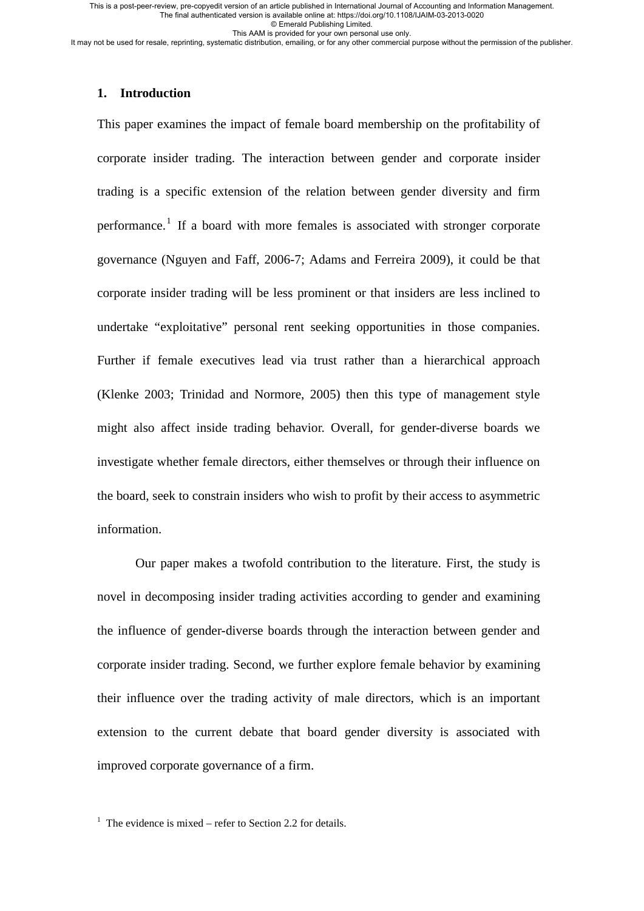© Emerald Publishing Limited.

This AAM is provided for your own personal use only.

It may not be used for resale, reprinting, systematic distribution, emailing, or for any other commercial purpose without the permission of the publisher.

### **1. Introduction**

This paper examines the impact of female board membership on the profitability of corporate insider trading. The interaction between gender and corporate insider trading is a specific extension of the relation between gender diversity and firm performance.<sup>[1](#page-2-0)</sup> If a board with more females is associated with stronger corporate governance (Nguyen and Faff, 2006-7; Adams and Ferreira 2009), it could be that corporate insider trading will be less prominent or that insiders are less inclined to undertake "exploitative" personal rent seeking opportunities in those companies. Further if female executives lead via trust rather than a hierarchical approach (Klenke 2003; Trinidad and Normore, 2005) then this type of management style might also affect inside trading behavior. Overall, for gender-diverse boards we investigate whether female directors, either themselves or through their influence on the board, seek to constrain insiders who wish to profit by their access to asymmetric information.

Our paper makes a twofold contribution to the literature. First, the study is novel in decomposing insider trading activities according to gender and examining the influence of gender-diverse boards through the interaction between gender and corporate insider trading. Second, we further explore female behavior by examining their influence over the trading activity of male directors, which is an important extension to the current debate that board gender diversity is associated with improved corporate governance of a firm.

<span id="page-2-0"></span><sup>1</sup> The evidence is mixed – refer to Section 2.2 for details.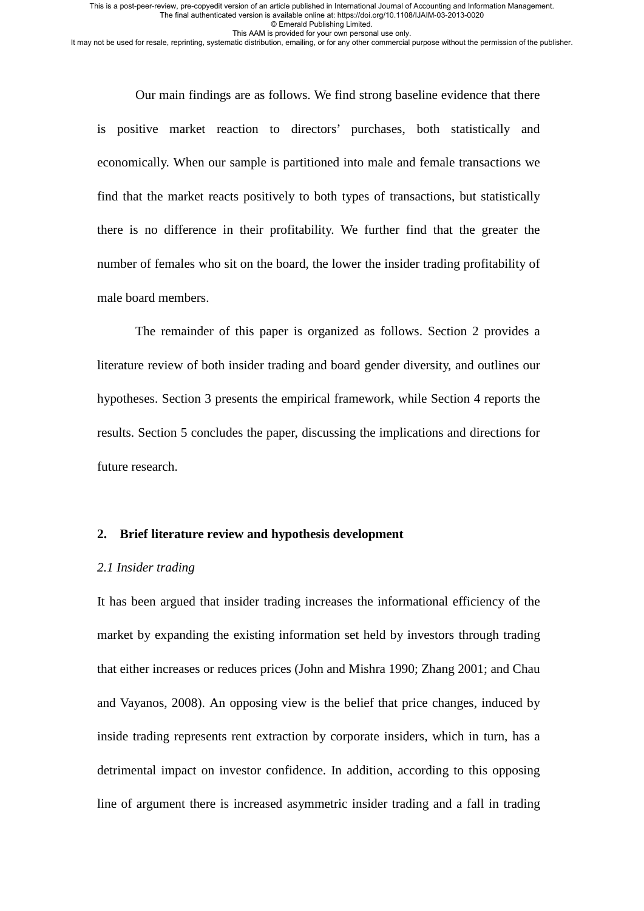© Emerald Publishing Limited.

This AAM is provided for your own personal use only.

It may not be used for resale, reprinting, systematic distribution, emailing, or for any other commercial purpose without the permission of the publisher.

Our main findings are as follows. We find strong baseline evidence that there is positive market reaction to directors' purchases, both statistically and economically. When our sample is partitioned into male and female transactions we find that the market reacts positively to both types of transactions, but statistically there is no difference in their profitability. We further find that the greater the number of females who sit on the board, the lower the insider trading profitability of male board members.

The remainder of this paper is organized as follows. Section 2 provides a literature review of both insider trading and board gender diversity, and outlines our hypotheses. Section 3 presents the empirical framework, while Section 4 reports the results. Section 5 concludes the paper, discussing the implications and directions for future research.

### **2. Brief literature review and hypothesis development**

### *2.1 Insider trading*

It has been argued that insider trading increases the informational efficiency of the market by expanding the existing information set held by investors through trading that either increases or reduces prices (John and Mishra 1990; Zhang 2001; and Chau and Vayanos, 2008). An opposing view is the belief that price changes, induced by inside trading represents rent extraction by corporate insiders, which in turn, has a detrimental impact on investor confidence. In addition, according to this opposing line of argument there is increased asymmetric insider trading and a fall in trading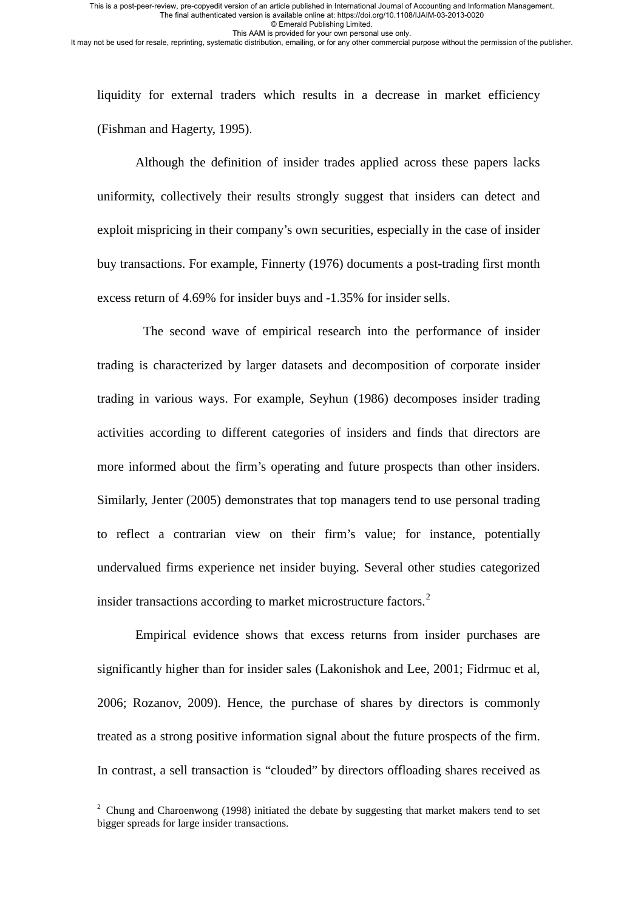© Emerald Publishing Limited.

This AAM is provided for your own personal use only.

It may not be used for resale, reprinting, systematic distribution, emailing, or for any other commercial purpose without the permission of the publisher.

liquidity for external traders which results in a decrease in market efficiency (Fishman and Hagerty, 1995).

Although the definition of insider trades applied across these papers lacks uniformity, collectively their results strongly suggest that insiders can detect and exploit mispricing in their company's own securities, especially in the case of insider buy transactions. For example, Finnerty (1976) documents a post-trading first month excess return of 4.69% for insider buys and -1.35% for insider sells.

The second wave of empirical research into the performance of insider trading is characterized by larger datasets and decomposition of corporate insider trading in various ways. For example, Seyhun (1986) decomposes insider trading activities according to different categories of insiders and finds that directors are more informed about the firm's operating and future prospects than other insiders. Similarly, Jenter (2005) demonstrates that top managers tend to use personal trading to reflect a contrarian view on their firm's value; for instance, potentially undervalued firms experience net insider buying. Several other studies categorized insider transactions according to market microstructure factors.<sup>[2](#page-4-0)</sup>

Empirical evidence shows that excess returns from insider purchases are significantly higher than for insider sales (Lakonishok and Lee, 2001; Fidrmuc et al, 2006; Rozanov, 2009). Hence, the purchase of shares by directors is commonly treated as a strong positive information signal about the future prospects of the firm. In contrast, a sell transaction is "clouded" by directors offloading shares received as

<span id="page-4-0"></span><sup>&</sup>lt;sup>2</sup> Chung and Charoenwong (1998) initiated the debate by suggesting that market makers tend to set bigger spreads for large insider transactions.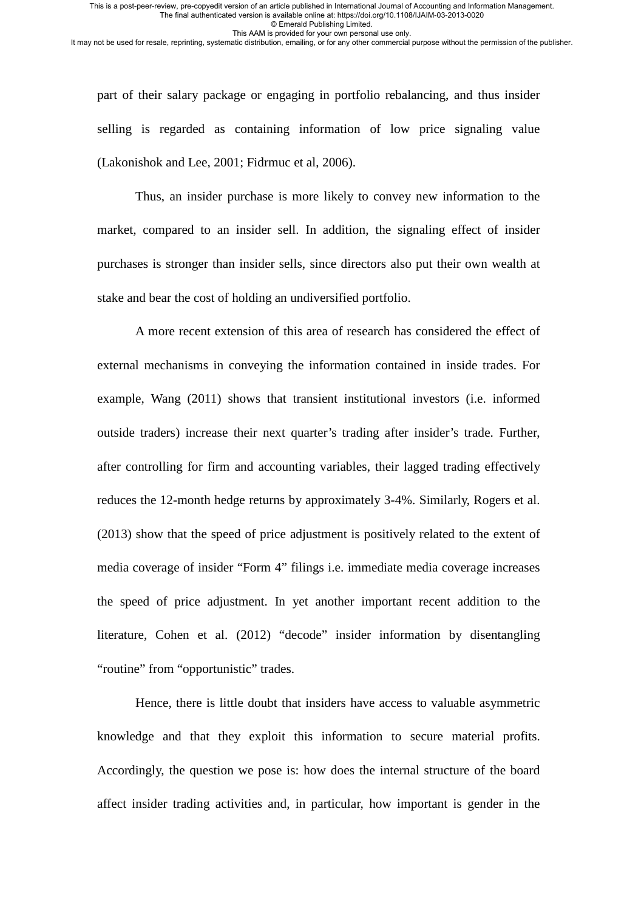© Emerald Publishing Limited.

This AAM is provided for your own personal use only.

It may not be used for resale, reprinting, systematic distribution, emailing, or for any other commercial purpose without the permission of the publisher.

part of their salary package or engaging in portfolio rebalancing, and thus insider selling is regarded as containing information of low price signaling value (Lakonishok and Lee, 2001; Fidrmuc et al, 2006).

Thus, an insider purchase is more likely to convey new information to the market, compared to an insider sell. In addition, the signaling effect of insider purchases is stronger than insider sells, since directors also put their own wealth at stake and bear the cost of holding an undiversified portfolio.

A more recent extension of this area of research has considered the effect of external mechanisms in conveying the information contained in inside trades. For example, Wang (2011) shows that transient institutional investors (i.e. informed outside traders) increase their next quarter's trading after insider's trade. Further, after controlling for firm and accounting variables, their lagged trading effectively reduces the 12-month hedge returns by approximately 3-4%. Similarly, Rogers et al. (2013) show that the speed of price adjustment is positively related to the extent of media coverage of insider "Form 4" filings i.e. immediate media coverage increases the speed of price adjustment. In yet another important recent addition to the literature, Cohen et al. (2012) "decode" insider information by disentangling "routine" from "opportunistic" trades.

Hence, there is little doubt that insiders have access to valuable asymmetric knowledge and that they exploit this information to secure material profits. Accordingly, the question we pose is: how does the internal structure of the board affect insider trading activities and, in particular, how important is gender in the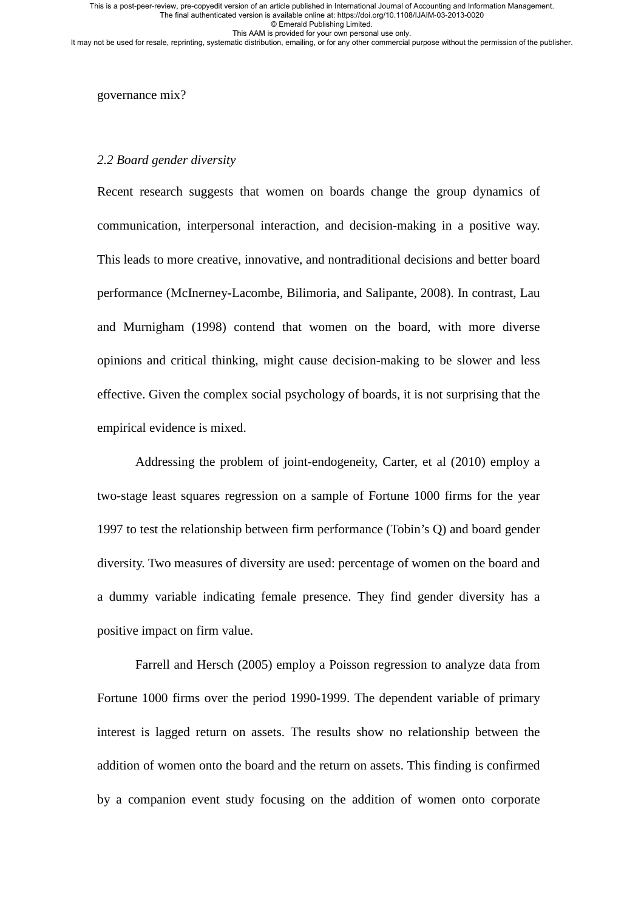© Emerald Publishing Limited. This AAM is provided for your own personal use only.

It may not be used for resale, reprinting, systematic distribution, emailing, or for any other commercial purpose without the permission of the publisher.

governance mix?

### *2.2 Board gender diversity*

Recent research suggests that women on boards change the group dynamics of communication, interpersonal interaction, and decision-making in a positive way. This leads to more creative, innovative, and nontraditional decisions and better board performance (McInerney-Lacombe, Bilimoria, and Salipante, 2008). In contrast, Lau and Murnigham (1998) contend that women on the board, with more diverse opinions and critical thinking, might cause decision-making to be slower and less effective. Given the complex social psychology of boards, it is not surprising that the empirical evidence is mixed.

Addressing the problem of joint-endogeneity, Carter, et al (2010) employ a two-stage least squares regression on a sample of Fortune 1000 firms for the year 1997 to test the relationship between firm performance (Tobin's Q) and board gender diversity. Two measures of diversity are used: percentage of women on the board and a dummy variable indicating female presence. They find gender diversity has a positive impact on firm value.

Farrell and Hersch (2005) employ a Poisson regression to analyze data from Fortune 1000 firms over the period 1990-1999. The dependent variable of primary interest is lagged return on assets. The results show no relationship between the addition of women onto the board and the return on assets. This finding is confirmed by a companion event study focusing on the addition of women onto corporate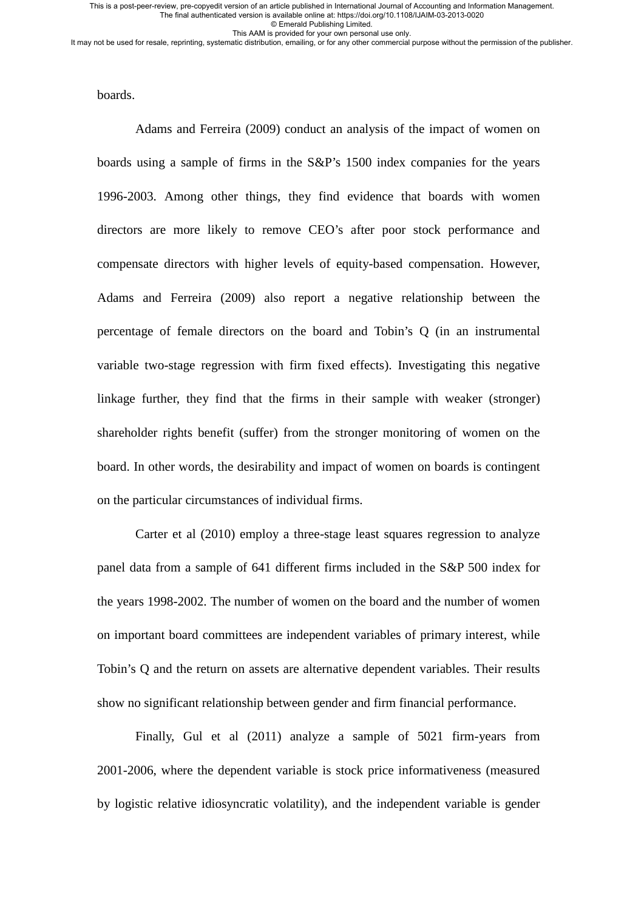© Emerald Publishing Limited.

This AAM is provided for your own personal use only.

It may not be used for resale, reprinting, systematic distribution, emailing, or for any other commercial purpose without the permission of the publisher.

boards.

Adams and Ferreira (2009) conduct an analysis of the impact of women on boards using a sample of firms in the S&P's 1500 index companies for the years 1996-2003. Among other things, they find evidence that boards with women directors are more likely to remove CEO's after poor stock performance and compensate directors with higher levels of equity-based compensation. However, Adams and Ferreira (2009) also report a negative relationship between the percentage of female directors on the board and Tobin's Q (in an instrumental variable two-stage regression with firm fixed effects). Investigating this negative linkage further, they find that the firms in their sample with weaker (stronger) shareholder rights benefit (suffer) from the stronger monitoring of women on the board. In other words, the desirability and impact of women on boards is contingent on the particular circumstances of individual firms.

Carter et al (2010) employ a three-stage least squares regression to analyze panel data from a sample of 641 different firms included in the S&P 500 index for the years 1998-2002. The number of women on the board and the number of women on important board committees are independent variables of primary interest, while Tobin's Q and the return on assets are alternative dependent variables. Their results show no significant relationship between gender and firm financial performance.

Finally, Gul et al (2011) analyze a sample of 5021 firm-years from 2001-2006, where the dependent variable is stock price informativeness (measured by logistic relative idiosyncratic volatility), and the independent variable is gender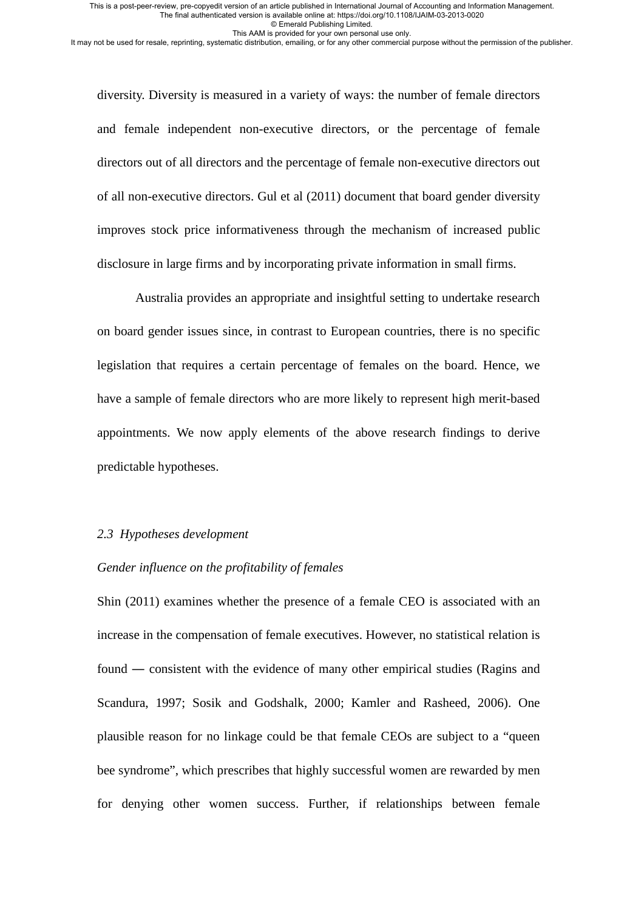© Emerald Publishing Limited.

This AAM is provided for your own personal use only.

It may not be used for resale, reprinting, systematic distribution, emailing, or for any other commercial purpose without the permission of the publisher.

diversity. Diversity is measured in a variety of ways: the number of female directors and female independent non-executive directors, or the percentage of female directors out of all directors and the percentage of female non-executive directors out of all non-executive directors. Gul et al (2011) document that board gender diversity improves stock price informativeness through the mechanism of increased public disclosure in large firms and by incorporating private information in small firms.

Australia provides an appropriate and insightful setting to undertake research on board gender issues since, in contrast to European countries, there is no specific legislation that requires a certain percentage of females on the board. Hence, we have a sample of female directors who are more likely to represent high merit-based appointments. We now apply elements of the above research findings to derive predictable hypotheses.

### *2.3 Hypotheses development*

### *Gender influence on the profitability of females*

Shin (2011) examines whether the presence of a female CEO is associated with an increase in the compensation of female executives. However, no statistical relation is found ― consistent with the evidence of many other empirical studies (Ragins and Scandura, 1997; Sosik and Godshalk, 2000; Kamler and Rasheed, 2006). One plausible reason for no linkage could be that female CEOs are subject to a "queen bee syndrome", which prescribes that highly successful women are rewarded by men for denying other women success. Further, if relationships between female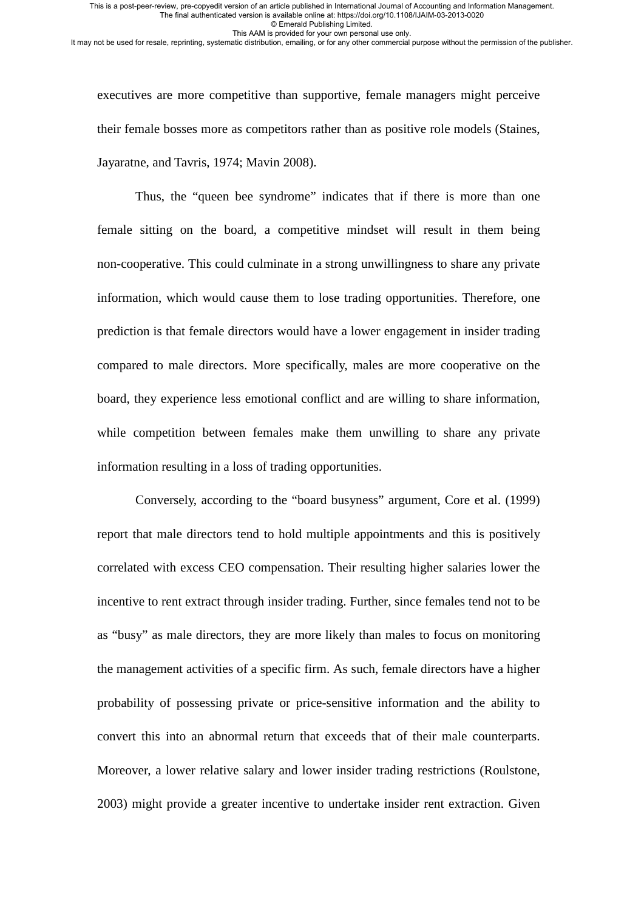© Emerald Publishing Limited.

This AAM is provided for your own personal use only. It may not be used for resale, reprinting, systematic distribution, emailing, or for any other commercial purpose without the permission of the publisher.

executives are more competitive than supportive, female managers might perceive their female bosses more as competitors rather than as positive role models (Staines, Jayaratne, and Tavris, 1974; Mavin 2008).

Thus, the "queen bee syndrome" indicates that if there is more than one female sitting on the board, a competitive mindset will result in them being non-cooperative. This could culminate in a strong unwillingness to share any private information, which would cause them to lose trading opportunities. Therefore, one prediction is that female directors would have a lower engagement in insider trading compared to male directors. More specifically, males are more cooperative on the board, they experience less emotional conflict and are willing to share information, while competition between females make them unwilling to share any private information resulting in a loss of trading opportunities.

Conversely, according to the "board busyness" argument, Core et al. (1999) report that male directors tend to hold multiple appointments and this is positively correlated with excess CEO compensation. Their resulting higher salaries lower the incentive to rent extract through insider trading. Further, since females tend not to be as "busy" as male directors, they are more likely than males to focus on monitoring the management activities of a specific firm. As such, female directors have a higher probability of possessing private or price-sensitive information and the ability to convert this into an abnormal return that exceeds that of their male counterparts. Moreover, a lower relative salary and lower insider trading restrictions (Roulstone, 2003) might provide a greater incentive to undertake insider rent extraction. Given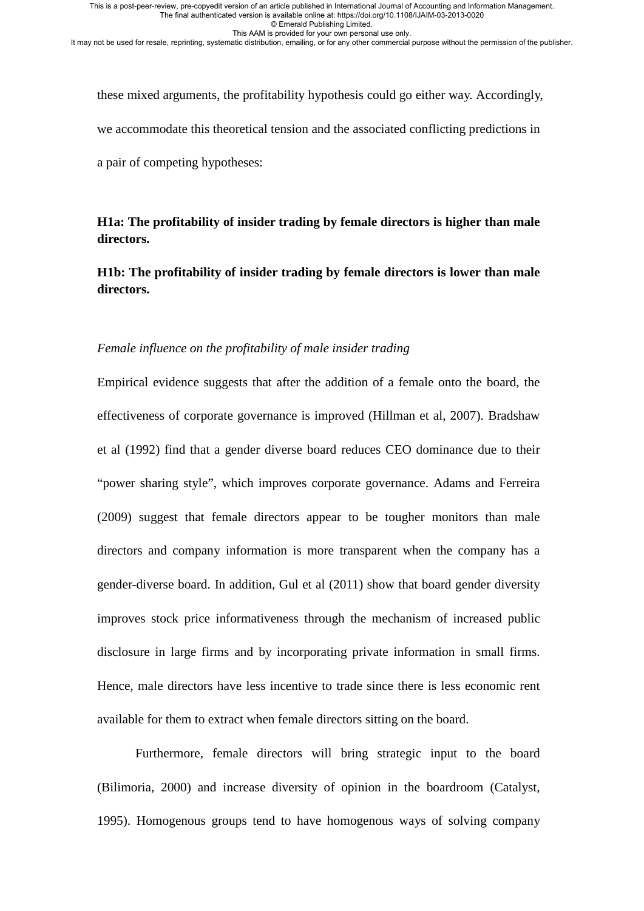© Emerald Publishing Limited.

This AAM is provided for your own personal use only.

It may not be used for resale, reprinting, systematic distribution, emailing, or for any other commercial purpose without the permission of the publisher.

these mixed arguments, the profitability hypothesis could go either way. Accordingly, we accommodate this theoretical tension and the associated conflicting predictions in a pair of competing hypotheses:

**H1a: The profitability of insider trading by female directors is higher than male directors.** 

**H1b: The profitability of insider trading by female directors is lower than male directors.** 

### *Female influence on the profitability of male insider trading*

Empirical evidence suggests that after the addition of a female onto the board, the effectiveness of corporate governance is improved (Hillman et al, 2007). Bradshaw et al (1992) find that a gender diverse board reduces CEO dominance due to their "power sharing style", which improves corporate governance. Adams and Ferreira (2009) suggest that female directors appear to be tougher monitors than male directors and company information is more transparent when the company has a gender-diverse board. In addition, Gul et al (2011) show that board gender diversity improves stock price informativeness through the mechanism of increased public disclosure in large firms and by incorporating private information in small firms. Hence, male directors have less incentive to trade since there is less economic rent available for them to extract when female directors sitting on the board.

Furthermore, female directors will bring strategic input to the board (Bilimoria, 2000) and increase diversity of opinion in the boardroom (Catalyst, 1995). Homogenous groups tend to have homogenous ways of solving company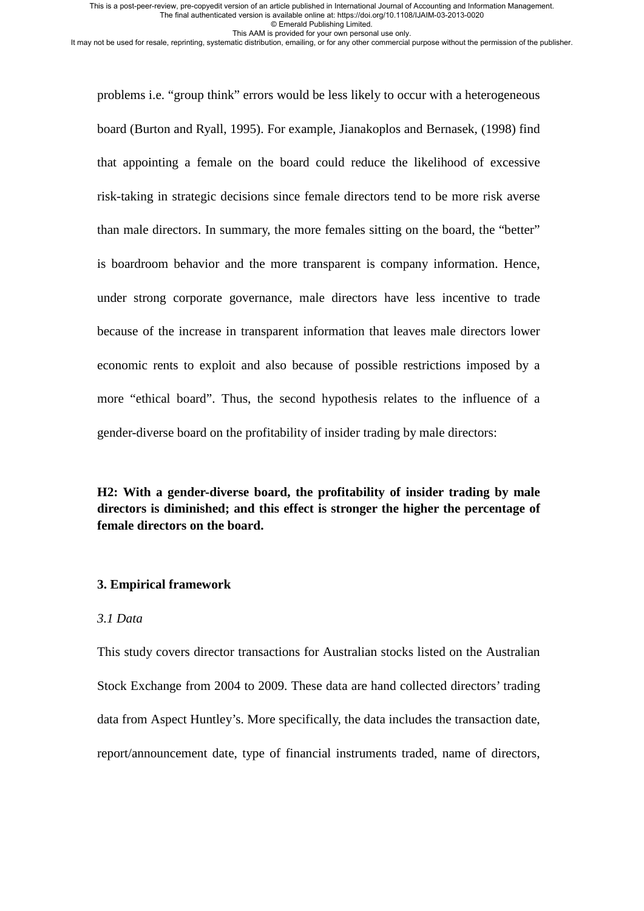© Emerald Publishing Limited.

This AAM is provided for your own personal use only.

It may not be used for resale, reprinting, systematic distribution, emailing, or for any other commercial purpose without the permission of the publisher.

problems i.e. "group think" errors would be less likely to occur with a heterogeneous board (Burton and Ryall, 1995). For example, Jianakoplos and Bernasek, (1998) find that appointing a female on the board could reduce the likelihood of excessive risk-taking in strategic decisions since female directors tend to be more risk averse than male directors. In summary, the more females sitting on the board, the "better" is boardroom behavior and the more transparent is company information. Hence, under strong corporate governance, male directors have less incentive to trade because of the increase in transparent information that leaves male directors lower economic rents to exploit and also because of possible restrictions imposed by a more "ethical board". Thus, the second hypothesis relates to the influence of a gender-diverse board on the profitability of insider trading by male directors:

**H2: With a gender-diverse board, the profitability of insider trading by male directors is diminished; and this effect is stronger the higher the percentage of female directors on the board.** 

### **3. Empirical framework**

#### *3.1 Data*

This study covers director transactions for Australian stocks listed on the Australian Stock Exchange from 2004 to 2009. These data are hand collected directors' trading data from Aspect Huntley's. More specifically, the data includes the transaction date, report/announcement date, type of financial instruments traded, name of directors,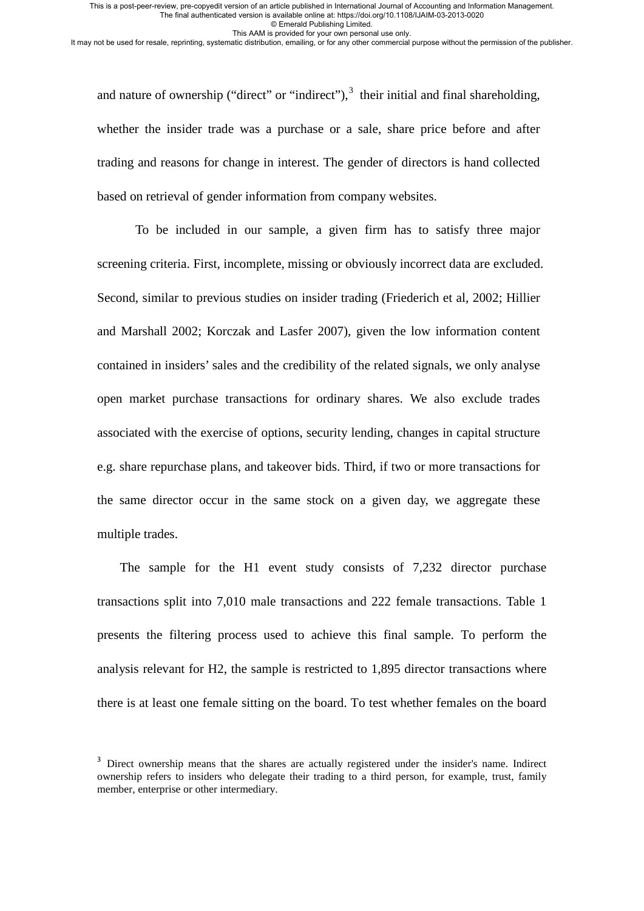© Emerald Publishing Limited.

This AAM is provided for your own personal use only.

It may not be used for resale, reprinting, systematic distribution, emailing, or for any other commercial purpose without the permission of the publisher.

and nature of ownership ("direct" or "indirect"),  $3$  their initial and final shareholding, whether the insider trade was a purchase or a sale, share price before and after trading and reasons for change in interest. The gender of directors is hand collected based on retrieval of gender information from company websites.

To be included in our sample, a given firm has to satisfy three major screening criteria. First, incomplete, missing or obviously incorrect data are excluded. Second, similar to previous studies on insider trading (Friederich et al, 2002; Hillier and Marshall 2002; Korczak and Lasfer 2007), given the low information content contained in insiders' sales and the credibility of the related signals, we only analyse open market purchase transactions for ordinary shares. We also exclude trades associated with the exercise of options, security lending, changes in capital structure e.g. share repurchase plans, and takeover bids. Third, if two or more transactions for the same director occur in the same stock on a given day, we aggregate these multiple trades.

The sample for the H1 event study consists of 7,232 director purchase transactions split into 7,010 male transactions and 222 female transactions. Table 1 presents the filtering process used to achieve this final sample. To perform the analysis relevant for H2, the sample is restricted to 1,895 director transactions where there is at least one female sitting on the board. To test whether females on the board

<span id="page-12-0"></span><sup>&</sup>lt;sup>3</sup> Direct ownership means that the shares are actually registered under the insider's name. Indirect ownership refers to insiders who delegate their trading to a third person, for example, trust, family member, enterprise or other intermediary.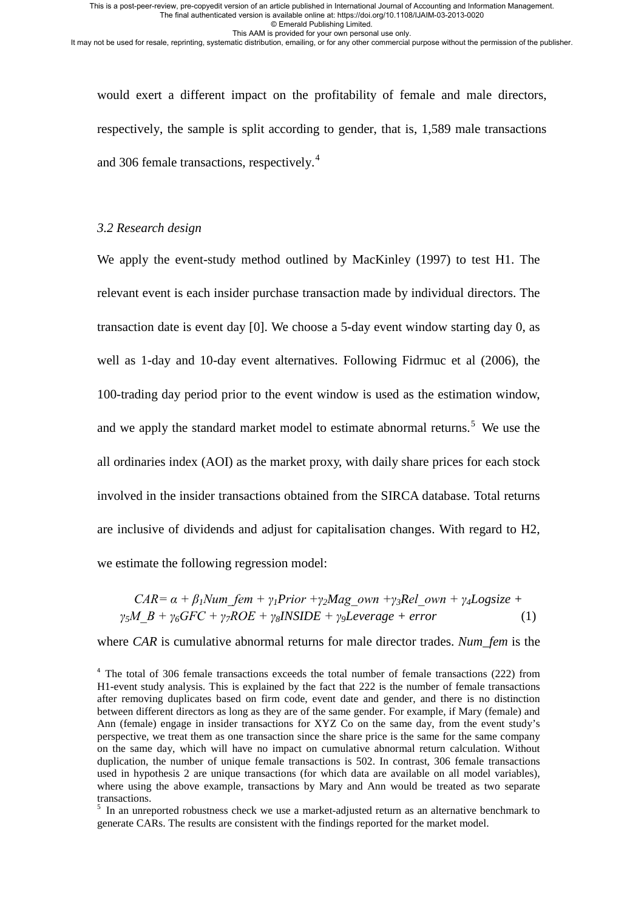© Emerald Publishing Limited.

This AAM is provided for your own personal use only.

It may not be used for resale, reprinting, systematic distribution, emailing, or for any other commercial purpose without the permission of the publisher.

would exert a different impact on the profitability of female and male directors, respectively, the sample is split according to gender, that is, 1,589 male transactions and 306 female transactions, respectively. [4](#page-13-0)

### *3.2 Research design*

We apply the event-study method outlined by MacKinley (1997) to test H1. The relevant event is each insider purchase transaction made by individual directors. The transaction date is event day [0]. We choose a 5-day event window starting day 0, as well as 1-day and 10-day event alternatives. Following Fidrmuc et al (2006), the 100-trading day period prior to the event window is used as the estimation window, and we apply the standard market model to estimate abnormal returns.<sup>[5](#page-13-1)</sup> We use the all ordinaries index (AOI) as the market proxy, with daily share prices for each stock involved in the insider transactions obtained from the SIRCA database. Total returns are inclusive of dividends and adjust for capitalisation changes. With regard to H2, we estimate the following regression model:

$$
CAR = \alpha + \beta_1 Num\_{fem} + \gamma_1 Prior + \gamma_2 Mag\_{own} + \gamma_3 Rel\_{own} + \gamma_4 Logsize + \n\gamma_5 M\_{B} + \gamma_6 GFC + \gamma_7 ROE + \gamma_8 INSIDE + \gamma_9 Leverage + error
$$
\n(1)

where *CAR* is cumulative abnormal returns for male director trades. *Num\_fem* is the

<span id="page-13-0"></span><sup>&</sup>lt;sup>4</sup> The total of 306 female transactions exceeds the total number of female transactions (222) from H1-event study analysis. This is explained by the fact that 222 is the number of female transactions after removing duplicates based on firm code, event date and gender, and there is no distinction between different directors as long as they are of the same gender. For example, if Mary (female) and Ann (female) engage in insider transactions for XYZ Co on the same day, from the event study's perspective, we treat them as one transaction since the share price is the same for the same company on the same day, which will have no impact on cumulative abnormal return calculation. Without duplication, the number of unique female transactions is 502. In contrast, 306 female transactions used in hypothesis 2 are unique transactions (for which data are available on all model variables), where using the above example, transactions by Mary and Ann would be treated as two separate transactions.<br><sup>5</sup> In an unreported robustness check we use a market-adjusted return as an alternative benchmark to

<span id="page-13-1"></span>generate CARs. The results are consistent with the findings reported for the market model.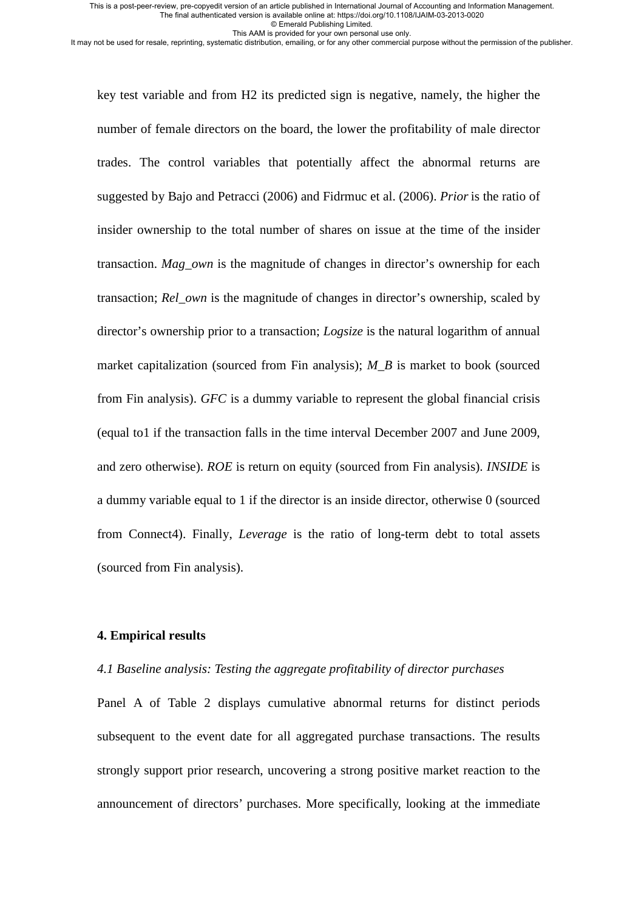© Emerald Publishing Limited.

This AAM is provided for your own personal use only.

It may not be used for resale, reprinting, systematic distribution, emailing, or for any other commercial purpose without the permission of the publisher.

key test variable and from H2 its predicted sign is negative, namely, the higher the number of female directors on the board, the lower the profitability of male director trades. The control variables that potentially affect the abnormal returns are suggested by Bajo and Petracci (2006) and Fidrmuc et al. (2006). *Prior* is the ratio of insider ownership to the total number of shares on issue at the time of the insider transaction. *Mag\_own* is the magnitude of changes in director's ownership for each transaction; *Rel\_own* is the magnitude of changes in director's ownership, scaled by director's ownership prior to a transaction; *Logsize* is the natural logarithm of annual market capitalization (sourced from Fin analysis); *M\_B* is market to book (sourced from Fin analysis). *GFC* is a dummy variable to represent the global financial crisis (equal to1 if the transaction falls in the time interval December 2007 and June 2009, and zero otherwise). *ROE* is return on equity (sourced from Fin analysis). *INSIDE* is a dummy variable equal to 1 if the director is an inside director, otherwise 0 (sourced from Connect4). Finally, *Leverage* is the ratio of long-term debt to total assets (sourced from Fin analysis).

### **4. Empirical results**

### *4.1 Baseline analysis: Testing the aggregate profitability of director purchases*

Panel A of Table 2 displays cumulative abnormal returns for distinct periods subsequent to the event date for all aggregated purchase transactions. The results strongly support prior research, uncovering a strong positive market reaction to the announcement of directors' purchases. More specifically, looking at the immediate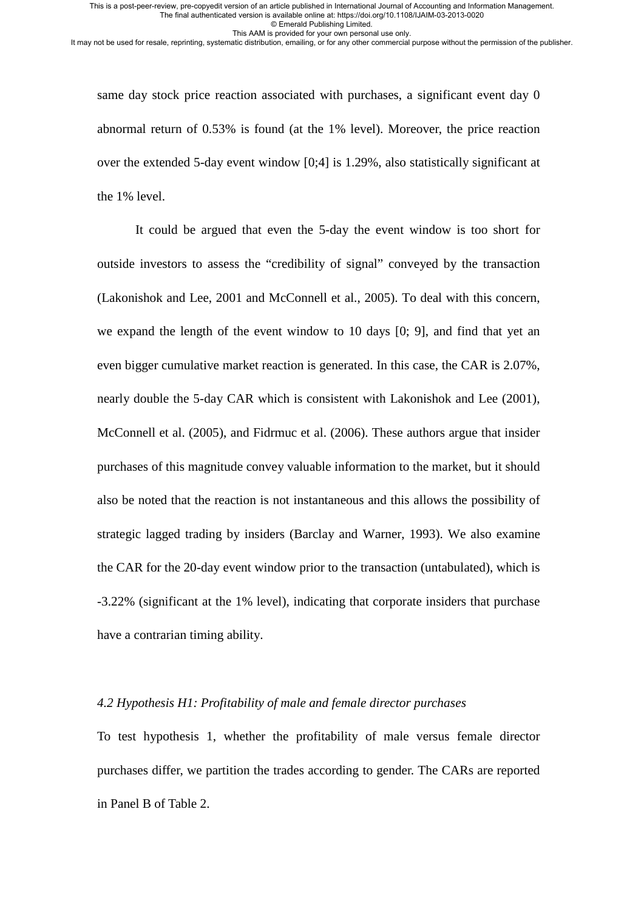© Emerald Publishing Limited.

This AAM is provided for your own personal use only. It may not be used for resale, reprinting, systematic distribution, emailing, or for any other commercial purpose without the permission of the publisher.

same day stock price reaction associated with purchases, a significant event day 0 abnormal return of 0.53% is found (at the 1% level). Moreover, the price reaction over the extended 5-day event window [0;4] is 1.29%, also statistically significant at the 1% level.

It could be argued that even the 5-day the event window is too short for outside investors to assess the "credibility of signal" conveyed by the transaction (Lakonishok and Lee, 2001 and McConnell et al., 2005). To deal with this concern, we expand the length of the event window to 10 days [0; 9], and find that yet an even bigger cumulative market reaction is generated. In this case, the CAR is 2.07%, nearly double the 5-day CAR which is consistent with Lakonishok and Lee (2001), McConnell et al. (2005), and Fidrmuc et al. (2006). These authors argue that insider purchases of this magnitude convey valuable information to the market, but it should also be noted that the reaction is not instantaneous and this allows the possibility of strategic lagged trading by insiders (Barclay and Warner, 1993). We also examine the CAR for the 20-day event window prior to the transaction (untabulated), which is -3.22% (significant at the 1% level), indicating that corporate insiders that purchase have a contrarian timing ability.

### *4.2 Hypothesis H1: Profitability of male and female director purchases*

To test hypothesis 1, whether the profitability of male versus female director purchases differ, we partition the trades according to gender. The CARs are reported in Panel B of Table 2.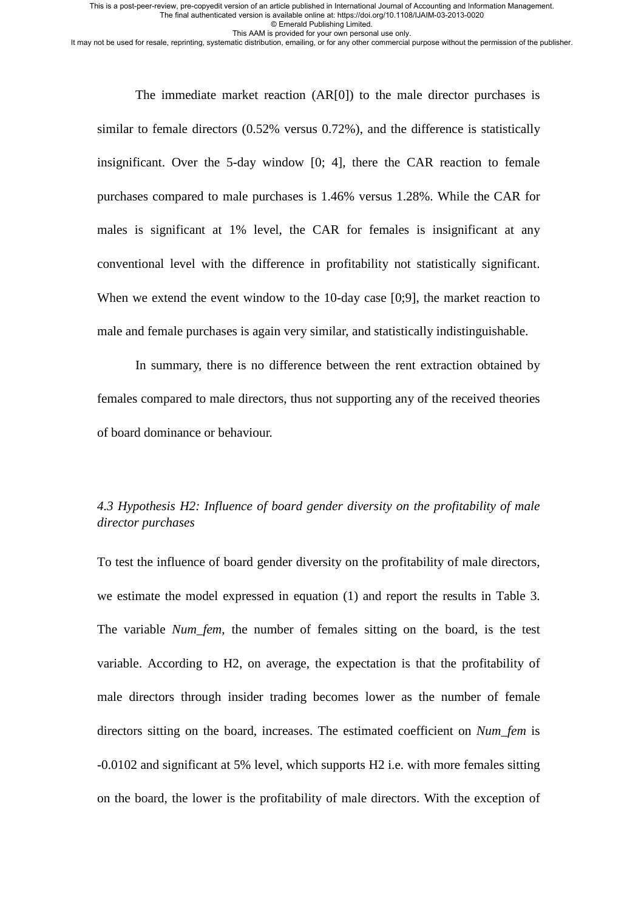© Emerald Publishing Limited.

This AAM is provided for your own personal use only.

It may not be used for resale, reprinting, systematic distribution, emailing, or for any other commercial purpose without the permission of the publisher.

The immediate market reaction (AR[0]) to the male director purchases is similar to female directors (0.52% versus 0.72%), and the difference is statistically insignificant. Over the 5-day window [0; 4], there the CAR reaction to female purchases compared to male purchases is 1.46% versus 1.28%. While the CAR for males is significant at 1% level, the CAR for females is insignificant at any conventional level with the difference in profitability not statistically significant. When we extend the event window to the 10-day case [0;9], the market reaction to male and female purchases is again very similar, and statistically indistinguishable.

In summary, there is no difference between the rent extraction obtained by females compared to male directors, thus not supporting any of the received theories of board dominance or behaviour.

## *4.3 Hypothesis H2: Influence of board gender diversity on the profitability of male director purchases*

To test the influence of board gender diversity on the profitability of male directors, we estimate the model expressed in equation (1) and report the results in Table 3. The variable *Num\_fem*, the number of females sitting on the board, is the test variable. According to H2, on average, the expectation is that the profitability of male directors through insider trading becomes lower as the number of female directors sitting on the board, increases. The estimated coefficient on *Num\_fem* is -0.0102 and significant at 5% level, which supports H2 i.e. with more females sitting on the board, the lower is the profitability of male directors. With the exception of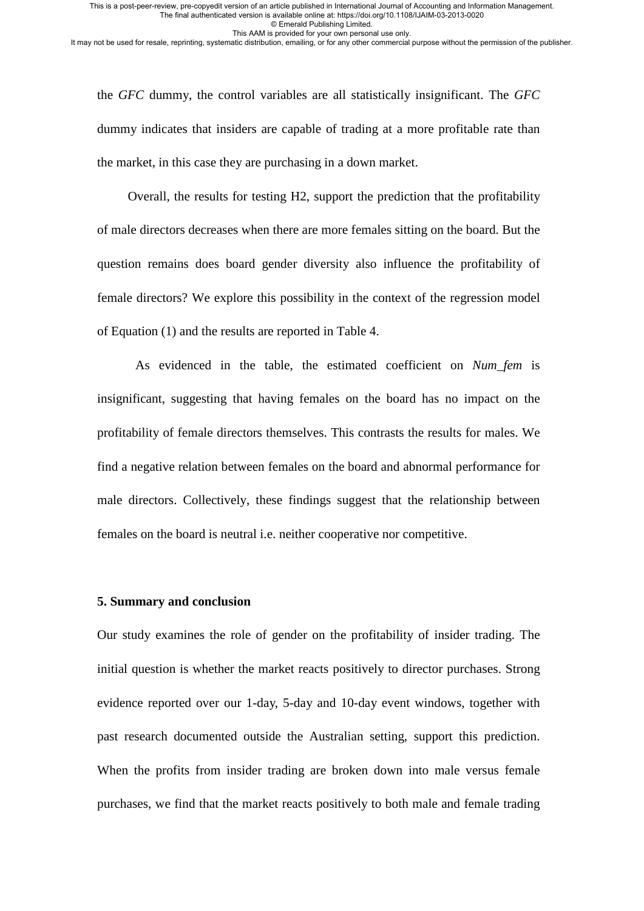© Emerald Publishing Limited.

This AAM is provided for your own personal use only.

It may not be used for resale, reprinting, systematic distribution, emailing, or for any other commercial purpose without the permission of the publisher.

the *GFC* dummy, the control variables are all statistically insignificant. The *GFC* dummy indicates that insiders are capable of trading at a more profitable rate than the market, in this case they are purchasing in a down market.

Overall, the results for testing H2, support the prediction that the profitability of male directors decreases when there are more females sitting on the board. But the question remains does board gender diversity also influence the profitability of female directors? We explore this possibility in the context of the regression model of Equation (1) and the results are reported in Table 4.

As evidenced in the table, the estimated coefficient on *Num\_fem* is insignificant, suggesting that having females on the board has no impact on the profitability of female directors themselves. This contrasts the results for males. We find a negative relation between females on the board and abnormal performance for male directors. Collectively, these findings suggest that the relationship between females on the board is neutral i.e. neither cooperative nor competitive.

### **5. Summary and conclusion**

Our study examines the role of gender on the profitability of insider trading. The initial question is whether the market reacts positively to director purchases. Strong evidence reported over our 1-day, 5-day and 10-day event windows, together with past research documented outside the Australian setting, support this prediction. When the profits from insider trading are broken down into male versus female purchases, we find that the market reacts positively to both male and female trading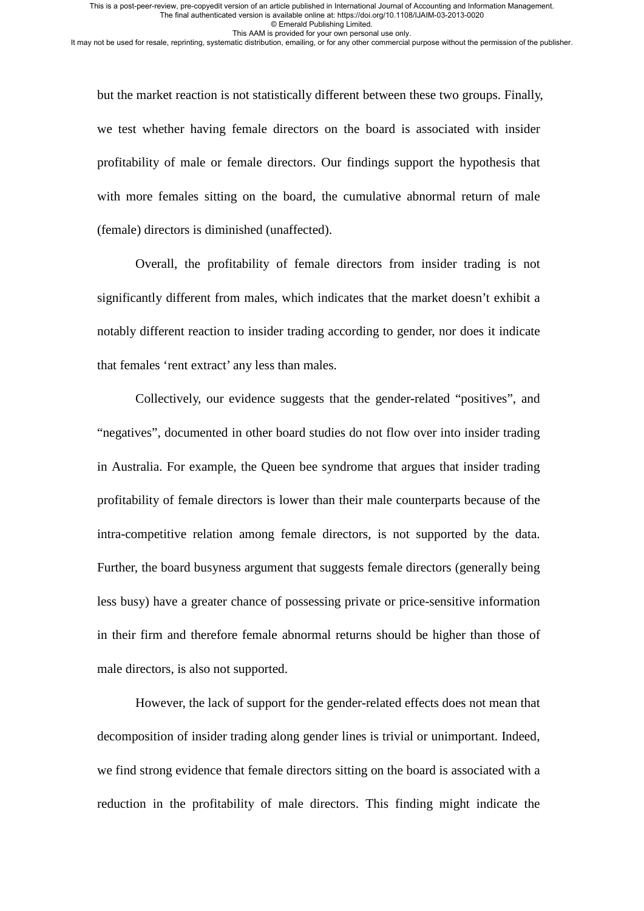© Emerald Publishing Limited. This AAM is provided for your own personal use only.

It may not be used for resale, reprinting, systematic distribution, emailing, or for any other commercial purpose without the permission of the publisher.

but the market reaction is not statistically different between these two groups. Finally, we test whether having female directors on the board is associated with insider profitability of male or female directors. Our findings support the hypothesis that with more females sitting on the board, the cumulative abnormal return of male (female) directors is diminished (unaffected).

Overall, the profitability of female directors from insider trading is not significantly different from males, which indicates that the market doesn't exhibit a notably different reaction to insider trading according to gender, nor does it indicate that females 'rent extract' any less than males.

Collectively, our evidence suggests that the gender-related "positives", and "negatives", documented in other board studies do not flow over into insider trading in Australia. For example, the Queen bee syndrome that argues that insider trading profitability of female directors is lower than their male counterparts because of the intra-competitive relation among female directors, is not supported by the data. Further, the board busyness argument that suggests female directors (generally being less busy) have a greater chance of possessing private or price-sensitive information in their firm and therefore female abnormal returns should be higher than those of male directors, is also not supported.

However, the lack of support for the gender-related effects does not mean that decomposition of insider trading along gender lines is trivial or unimportant. Indeed, we find strong evidence that female directors sitting on the board is associated with a reduction in the profitability of male directors. This finding might indicate the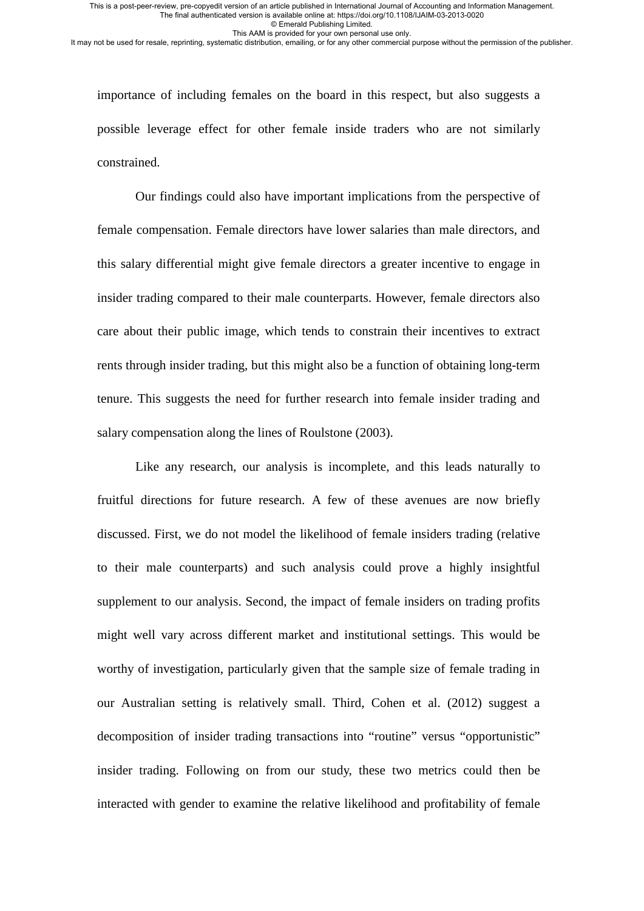© Emerald Publishing Limited.

This AAM is provided for your own personal use only.

It may not be used for resale, reprinting, systematic distribution, emailing, or for any other commercial purpose without the permission of the publisher.

importance of including females on the board in this respect, but also suggests a possible leverage effect for other female inside traders who are not similarly constrained.

Our findings could also have important implications from the perspective of female compensation. Female directors have lower salaries than male directors, and this salary differential might give female directors a greater incentive to engage in insider trading compared to their male counterparts. However, female directors also care about their public image, which tends to constrain their incentives to extract rents through insider trading, but this might also be a function of obtaining long-term tenure. This suggests the need for further research into female insider trading and salary compensation along the lines of Roulstone (2003).

Like any research, our analysis is incomplete, and this leads naturally to fruitful directions for future research. A few of these avenues are now briefly discussed. First, we do not model the likelihood of female insiders trading (relative to their male counterparts) and such analysis could prove a highly insightful supplement to our analysis. Second, the impact of female insiders on trading profits might well vary across different market and institutional settings. This would be worthy of investigation, particularly given that the sample size of female trading in our Australian setting is relatively small. Third, Cohen et al. (2012) suggest a decomposition of insider trading transactions into "routine" versus "opportunistic" insider trading. Following on from our study, these two metrics could then be interacted with gender to examine the relative likelihood and profitability of female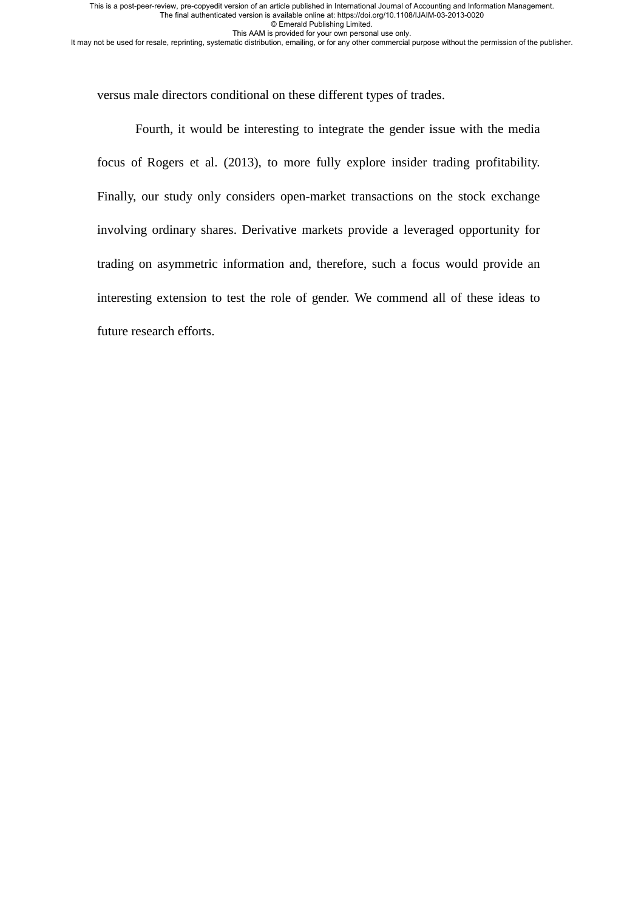© Emerald Publishing Limited.

This AAM is provided for your own personal use only.

It may not be used for resale, reprinting, systematic distribution, emailing, or for any other commercial purpose without the permission of the publisher.

versus male directors conditional on these different types of trades.

Fourth, it would be interesting to integrate the gender issue with the media focus of Rogers et al. (2013), to more fully explore insider trading profitability. Finally, our study only considers open-market transactions on the stock exchange involving ordinary shares. Derivative markets provide a leveraged opportunity for trading on asymmetric information and, therefore, such a focus would provide an interesting extension to test the role of gender. We commend all of these ideas to future research efforts.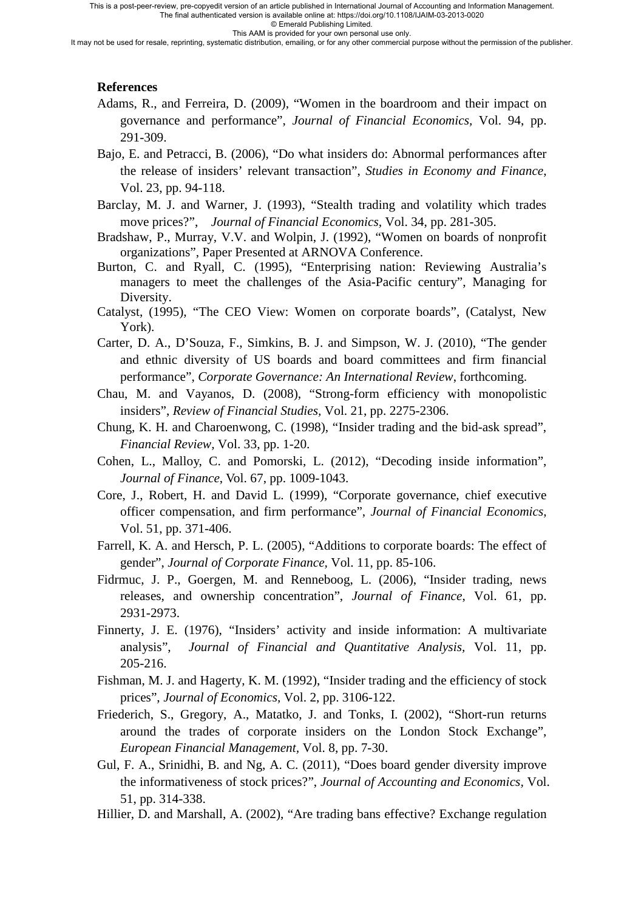This is a post-peer-review, pre-copyedit version of an article published in International Journal of Accounting and Information Management.

The final authenticated version is available online at: https://doi.org/10.1108/IJAIM-03-2013-0020

© Emerald Publishing Limited. This AAM is provided for your own personal use only.

It may not be used for resale, reprinting, systematic distribution, emailing, or for any other commercial purpose without the permission of the publisher.

### **References**

- Adams, R., and Ferreira, D. (2009), "Women in the boardroom and their impact on governance and performance", *Journal of Financial Economics,* Vol. 94, pp. 291-309.
- Bajo, E. and Petracci, B. (2006), "Do what insiders do: Abnormal performances after the release of insiders' relevant transaction", *Studies in Economy and Finance*, Vol. 23, pp. 94-118.
- Barclay, M. J. and Warner, J. (1993), "Stealth trading and volatility which trades move prices?", *Journal of Financial Economics,* Vol. 34, pp. 281-305.
- Bradshaw, P., Murray, V.V. and Wolpin, J. (1992), "Women on boards of nonprofit organizations", Paper Presented at ARNOVA Conference.
- Burton, C. and Ryall, C. (1995), "Enterprising nation: Reviewing Australia's managers to meet the challenges of the Asia-Pacific century", Managing for Diversity.
- Catalyst, (1995), "The CEO View: Women on corporate boards", (Catalyst, New York).
- Carter, D. A., D'Souza, F., Simkins, B. J. and Simpson, W. J. (2010), "The gender and ethnic diversity of US boards and board committees and firm financial performance", *Corporate Governance: An International Review*, forthcoming.
- Chau, M. and Vayanos, D. (2008), "Strong-form efficiency with monopolistic insiders", *Review of Financial Studies,* Vol. 21, pp. 2275-2306.
- Chung, K. H. and Charoenwong, C. (1998), "Insider trading and the bid-ask spread", *Financial Review,* Vol. 33, pp. 1-20.
- Cohen, L., Malloy, C. and Pomorski, L. (2012), "Decoding inside information", *Journal of Finance*, Vol. 67, pp. 1009-1043.
- Core, J., Robert, H. and David L. (1999), "Corporate governance, chief executive officer compensation, and firm performance", *Journal of Financial Economics*, Vol. 51, pp. 371-406.
- Farrell, K. A. and Hersch, P. L. (2005), "Additions to corporate boards: The effect of gender", *Journal of Corporate Finance,* Vol. 11, pp. 85-106.
- Fidrmuc, J. P., Goergen, M. and Renneboog, L. (2006), "Insider trading, news releases, and ownership concentration", *Journal of Finance*, Vol. 61, pp. 2931-2973.
- Finnerty, J. E. (1976), "Insiders' activity and inside information: A multivariate analysis", *Journal of Financial and Quantitative Analysis,* Vol. 11, pp. 205-216.
- Fishman, M. J. and Hagerty, K. M. (1992), "Insider trading and the efficiency of stock prices", *Journal of Economics,* Vol. 2, pp. 3106-122.
- Friederich, S., Gregory, A., Matatko, J. and Tonks, I. (2002), "Short-run returns around the trades of corporate insiders on the London Stock Exchange", *European Financial Management,* Vol. 8, pp. 7-30.
- [Gul, F. A.](http://search.proquest.com/docview.indexfieldauthoraffiliation.lateralsearchlink:lateralsearch/sng/au/Gul,+Ferdinand+A/$N?site=abiglobal&t:ac=864098381/Record/1360E88E8F24E640C5/4&t:cp=maintain/docviewblocks), [Srinidhi, B.](http://search.proquest.com/docview.indexfieldauthoraffiliation.lateralsearchlink:lateralsearch/sng/au/Srinidhi,+Bin/$N?site=abiglobal&t:ac=864098381/Record/1360E88E8F24E640C5/4&t:cp=maintain/docviewblocks) and [Ng, A. C.](http://search.proquest.com/docview.indexfieldauthoraffiliation.lateralsearchlink:lateralsearch/sng/au/Ng,+Anthony+C/$N?site=abiglobal&t:ac=864098381/Record/1360E88E8F24E640C5/4&t:cp=maintain/docviewblocks) (2011), "Does board gender diversity improve the informativeness of stock prices?", *Journal of Accounting and Economics,* Vol. 51, pp. 314-338.
- Hillier, D. and Marshall, A. (2002), "Are trading bans effective? Exchange regulation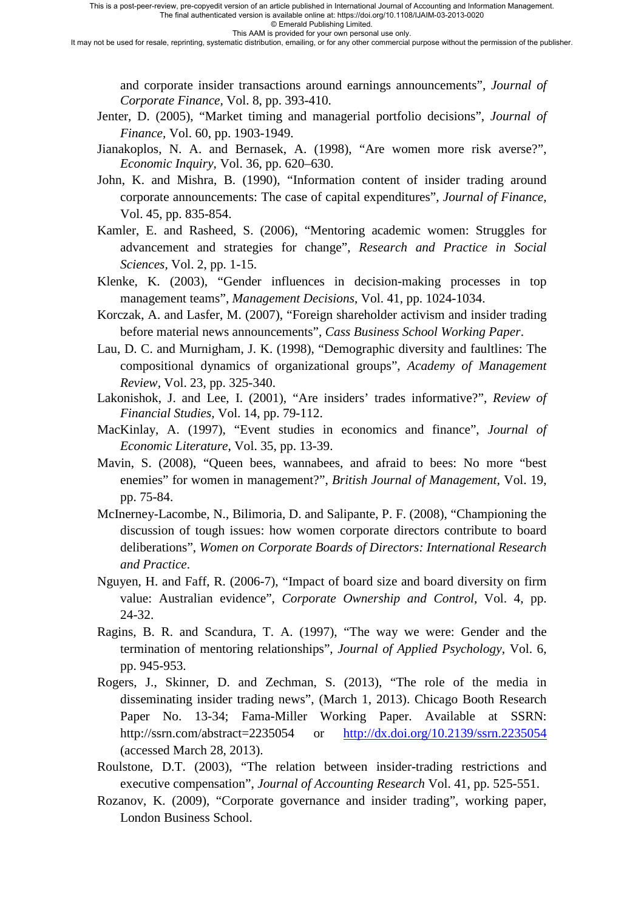© Emerald Publishing Limited.

This AAM is provided for your own personal use only.

It may not be used for resale, reprinting, systematic distribution, emailing, or for any other commercial purpose without the permission of the publisher.

and corporate insider transactions around earnings announcements", *Journal of Corporate Finance,* Vol. 8, pp. 393-410.

- Jenter, D. (2005), "Market timing and managerial portfolio decisions", *Journal of Finance,* Vol. 60, pp. 1903-1949.
- Jianakoplos, N. A. and Bernasek, A. (1998), "Are women more risk averse?", *Economic Inquiry*, Vol. 36, pp. 620–630.
- John, K. and Mishra, B. (1990), "Information content of insider trading around corporate announcements: The case of capital expenditures", *Journal of Finance,*  Vol. 45, pp. 835-854.
- Kamler, E. and Rasheed, S. (2006), "Mentoring academic women: Struggles for advancement and strategies for change", *Research and Practice in Social Sciences,* Vol. 2, pp. 1-15.
- Klenke, K. (2003), "Gender influences in decision-making processes in top management teams", *Management Decisions*, Vol. 41, pp. 1024-1034.
- Korczak, A. and Lasfer, M. (2007), "Foreign shareholder activism and insider trading before material news announcements", *Cass Business School Working Paper*.
- Lau, D. C. and Murnigham, J. K. (1998), "Demographic diversity and faultlines: The compositional dynamics of organizational groups", *Academy of Management Review,* Vol. 23, pp. 325-340.
- Lakonishok, J. and Lee, I. (2001), "Are insiders' trades informative?", *Review of Financial Studies,* Vol. 14, pp. 79-112.
- MacKinlay, A. (1997), "Event studies in economics and finance", *Journal of Economic Literature*, Vol. 35, pp. 13-39.
- Mavin, S. (2008), "Queen bees, wannabees, and afraid to bees: No more "best enemies" for women in management?", *British Journal of Management,* Vol. 19, pp. 75-84.
- McInerney-Lacombe, N., Bilimoria, D. and Salipante, P. F. (2008), "Championing the discussion of tough issues: how women corporate directors contribute to board deliberations", *Women on Corporate Boards of Directors: International Research and Practice*.
- Nguyen, H. and Faff, R. (2006-7), "Impact of board size and board diversity on firm value: Australian evidence", *Corporate Ownership and Control*, Vol. 4, pp. 24-32.
- Ragins, B. R. and Scandura, T. A. (1997), "The way we were: Gender and the termination of mentoring relationships", *Journal of Applied Psychology*, Vol. 6, pp. 945-953.
- Rogers, J., Skinner, D. and Zechman, S. (2013), "The role of the media in disseminating insider trading news", (March 1, 2013). Chicago Booth Research Paper No. 13-34; Fama-Miller Working Paper. Available at SSRN: http://ssrn.com/abstract=2235054 or <http://dx.doi.org/10.2139/ssrn.2235054> (accessed March 28, 2013).
- Roulstone, D.T. (2003), "The relation between insider-trading restrictions and executive compensation", *Journal of Accounting Research* Vol. 41, pp. 525-551.
- Rozanov, K. (2009), "Corporate governance and insider trading", working paper, London Business School.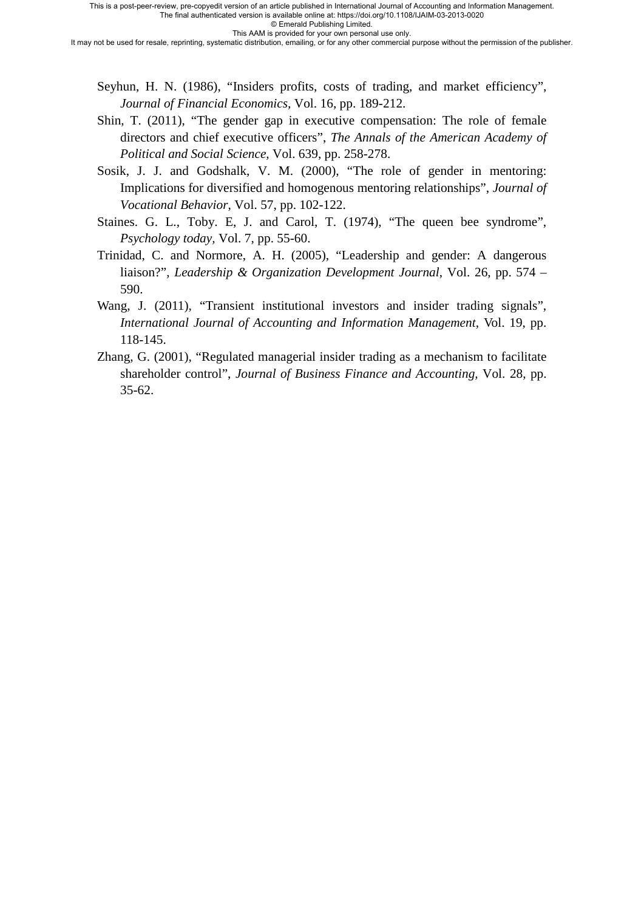© Emerald Publishing Limited. This AAM is provided for your own personal use only.

It may not be used for resale, reprinting, systematic distribution, emailing, or for any other commercial purpose without the permission of the publisher.

- Seyhun, H. N. (1986), "Insiders profits, costs of trading, and market efficiency", *Journal of Financial Economics,* Vol. 16, pp. 189-212.
- Shin, T. (2011), "The gender gap in executive compensation: The role of female directors and chief executive officers", *The Annals of the American Academy of Political and Social Science,* Vol. 639, pp. 258-278.
- Sosik, J. J. and Godshalk, V. M. (2000), "The role of gender in mentoring: Implications for diversified and homogenous mentoring relationships", *Journal of Vocational Behavior*, Vol. 57, pp. 102-122.
- Staines. G. L., Toby. E, J. and Carol, T. (1974), "The queen bee syndrome", *Psychology today,* Vol. 7, pp. 55-60.
- Trinidad, C. and Normore, A. H. (2005), "Leadership and gender: A dangerous liaison?", *Leadership & Organization Development Journal*, Vol. 26, pp. 574 – 590.
- Wang, J. (2011), "Transient institutional investors and insider trading signals", *International Journal of Accounting and Information Management*, Vol. 19, pp. 118-145.
- Zhang, G. (2001), "Regulated managerial insider trading as a mechanism to facilitate shareholder control", *Journal of Business Finance and Accounting,* Vol. 28, pp. 35-62.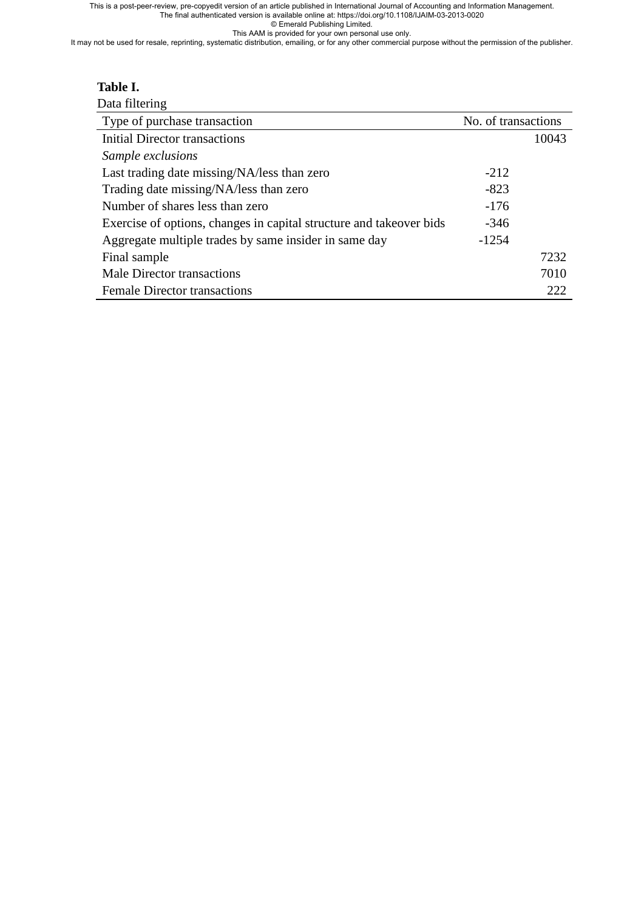This is a post-peer-review, pre-copyedit version of an article published in International Journal of Accounting and Information Management.

The final authenticated version is available online at: https://doi.org/10.1108/IJAIM-03-2013-0020 © Emerald Publishing Limited.

This AAM is provided for your own personal use only.

It may not be used for resale, reprinting, systematic distribution, emailing, or for any other commercial purpose without the permission of the publisher.

### **Table I.**

| Data filtering                                                      |                     |       |
|---------------------------------------------------------------------|---------------------|-------|
| Type of purchase transaction                                        | No. of transactions |       |
| <b>Initial Director transactions</b>                                |                     | 10043 |
| Sample exclusions                                                   |                     |       |
| Last trading date missing/NA/less than zero                         | $-212$              |       |
| Trading date missing/NA/less than zero                              | $-823$              |       |
| Number of shares less than zero                                     | $-176$              |       |
| Exercise of options, changes in capital structure and takeover bids | $-346$              |       |
| Aggregate multiple trades by same insider in same day               | $-1254$             |       |
| Final sample                                                        |                     | 7232  |
| Male Director transactions                                          |                     | 7010  |
| <b>Female Director transactions</b>                                 |                     | 222   |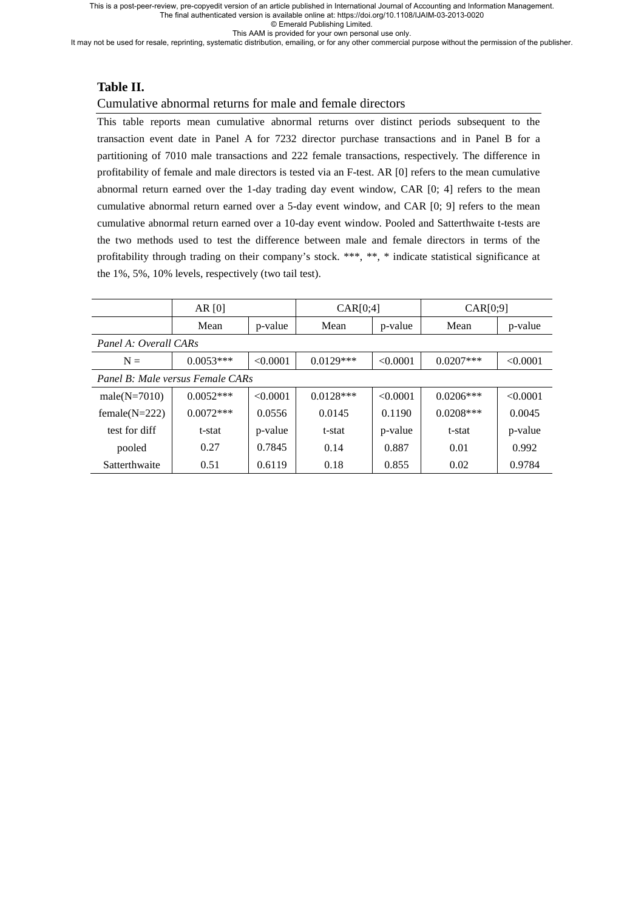This is a post-peer-review, pre-copyedit version of an article published in International Journal of Accounting and Information Management.

The final authenticated version is available online at: https://doi.org/10.1108/IJAIM-03-2013-0020

© Emerald Publishing Limited. This AAM is provided for your own personal use only.

It may not be used for resale, reprinting, systematic distribution, emailing, or for any other commercial purpose without the permission of the publisher.

### **Table II.**

#### Cumulative abnormal returns for male and female directors1

This table reports mean cumulative abnormal returns over distinct periods subsequent to the transaction event date in Panel A for 7232 director purchase transactions and in Panel B for a partitioning of 7010 male transactions and 222 female transactions, respectively. The difference in profitability of female and male directors is tested via an F-test. AR [0] refers to the mean cumulative abnormal return earned over the 1-day trading day event window, CAR [0; 4] refers to the mean cumulative abnormal return earned over a 5-day event window, and CAR [0; 9] refers to the mean cumulative abnormal return earned over a 10-day event window. Pooled and Satterthwaite t-tests are the two methods used to test the difference between male and female directors in terms of the profitability through trading on their company's stock. \*\*\*, \*\*, \* indicate statistical significance at the 1%, 5%, 10% levels, respectively (two tail test).

|                                  | AR $[0]$    |          | CAR[0;4]    |          | CAR[0;9]     |          |
|----------------------------------|-------------|----------|-------------|----------|--------------|----------|
|                                  | Mean        | p-value  | Mean        | p-value  | Mean         | p-value  |
| Panel A: Overall CARs            |             |          |             |          |              |          |
| $N =$                            | $0.0053***$ | < 0.0001 | $0.0129***$ | < 0.0001 | $0.0207$ *** | < 0.0001 |
| Panel B: Male versus Female CARs |             |          |             |          |              |          |
| male $(N=7010)$                  | $0.0052***$ | < 0.0001 | $0.0128***$ | < 0.0001 | $0.0206***$  | < 0.0001 |
| female $(N=222)$                 | $0.0072***$ | 0.0556   | 0.0145      | 0.1190   | $0.0208***$  | 0.0045   |
| test for diff                    | t-stat      | p-value  | t-stat      | p-value  | t-stat       | p-value  |
| pooled                           | 0.27        | 0.7845   | 0.14        | 0.887    | 0.01         | 0.992    |
| Satterthwaite                    | 0.51        | 0.6119   | 0.18        | 0.855    | 0.02         | 0.9784   |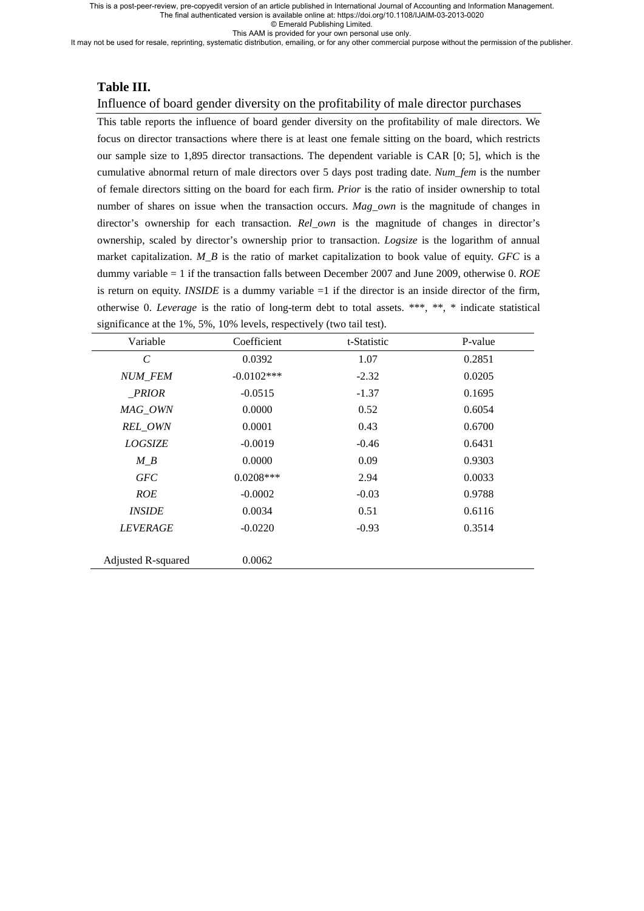© Emerald Publishing Limited.

This AAM is provided for your own personal use only.

It may not be used for resale, reprinting, systematic distribution, emailing, or for any other commercial purpose without the permission of the publisher.

#### **Table III.**

#### Influence of board gender diversity on the profitability of male director purchases

This table reports the influence of board gender diversity on the profitability of male directors. We focus on director transactions where there is at least one female sitting on the board, which restricts our sample size to 1,895 director transactions. The dependent variable is CAR [0; 5], which is the cumulative abnormal return of male directors over 5 days post trading date. *Num\_fem* is the number of female directors sitting on the board for each firm. *Prior* is the ratio of insider ownership to total number of shares on issue when the transaction occurs. *Mag\_own* is the magnitude of changes in director's ownership for each transaction. *Rel own* is the magnitude of changes in director's ownership, scaled by director's ownership prior to transaction. *Logsize* is the logarithm of annual market capitalization. *M\_B* is the ratio of market capitalization to book value of equity. *GFC* is a dummy variable = 1 if the transaction falls between December 2007 and June 2009, otherwise 0. *ROE* is return on equity. *INSIDE* is a dummy variable  $=1$  if the director is an inside director of the firm, otherwise 0. *Leverage* is the ratio of long-term debt to total assets. \*\*\*, \*\*, \* indicate statistical significance at the 1%, 5%, 10% levels, respectively (two tail test).

| Variable              | Coefficient  | t-Statistic | P-value |
|-----------------------|--------------|-------------|---------|
| $\mathcal{C}_{0}^{0}$ | 0.0392       | 1.07        | 0.2851  |
| NUM_FEM               | $-0.0102***$ | $-2.32$     | 0.0205  |
| <i>PRIOR</i>          | $-0.0515$    | $-1.37$     | 0.1695  |
| MAG_OWN               | 0.0000       | 0.52        | 0.6054  |
| REL_OWN               | 0.0001       | 0.43        | 0.6700  |
| <b>LOGSIZE</b>        | $-0.0019$    | $-0.46$     | 0.6431  |
| $M_B$                 | 0.0000       | 0.09        | 0.9303  |
| <b>GFC</b>            | $0.0208***$  | 2.94        | 0.0033  |
| <b>ROE</b>            | $-0.0002$    | $-0.03$     | 0.9788  |
| <b>INSIDE</b>         | 0.0034       | 0.51        | 0.6116  |
| <b>LEVERAGE</b>       | $-0.0220$    | $-0.93$     | 0.3514  |
|                       |              |             |         |
| Adjusted R-squared    | 0.0062       |             |         |